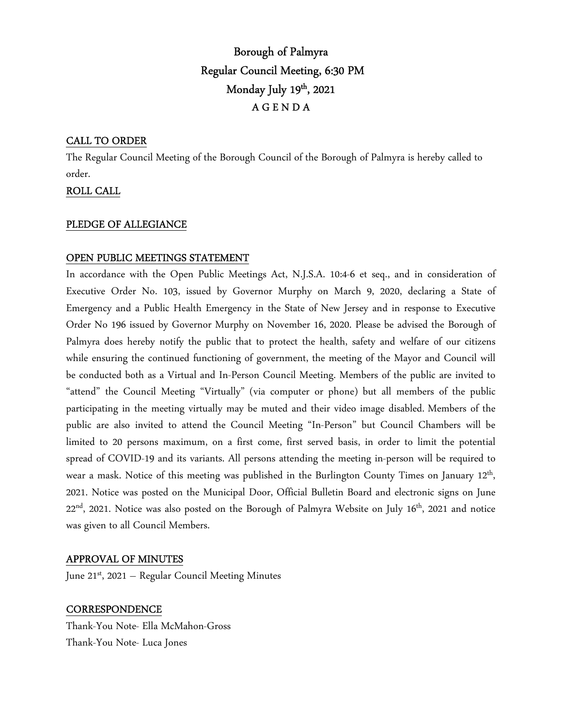# Borough of Palmyra Regular Council Meeting, 6:30 PM Monday July  $19<sup>th</sup>$ , 2021 A G E N D A

#### CALL TO ORDER

The Regular Council Meeting of the Borough Council of the Borough of Palmyra is hereby called to order.

# ROLL CALL

#### PLEDGE OF ALLEGIANCE

## OPEN PUBLIC MEETINGS STATEMENT

In accordance with the Open Public Meetings Act, N.J.S.A. 10:4-6 et seq., and in consideration of Executive Order No. 103, issued by Governor Murphy on March 9, 2020, declaring a State of Emergency and a Public Health Emergency in the State of New Jersey and in response to Executive Order No 196 issued by Governor Murphy on November 16, 2020. Please be advised the Borough of Palmyra does hereby notify the public that to protect the health, safety and welfare of our citizens while ensuring the continued functioning of government, the meeting of the Mayor and Council will be conducted both as a Virtual and In-Person Council Meeting. Members of the public are invited to "attend" the Council Meeting "Virtually" (via computer or phone) but all members of the public participating in the meeting virtually may be muted and their video image disabled. Members of the public are also invited to attend the Council Meeting "In-Person" but Council Chambers will be limited to 20 persons maximum, on a first come, first served basis, in order to limit the potential spread of COVID-19 and its variants. All persons attending the meeting in-person will be required to wear a mask. Notice of this meeting was published in the Burlington County Times on January 12<sup>th</sup>, 2021. Notice was posted on the Municipal Door, Official Bulletin Board and electronic signs on June 22<sup>nd</sup>, 2021. Notice was also posted on the Borough of Palmyra Website on July 16<sup>th</sup>, 2021 and notice was given to all Council Members.

#### APPROVAL OF MINUTES

June  $21^{st}$ , 2021 – Regular Council Meeting Minutes

# **CORRESPONDENCE**

Thank-You Note- Ella McMahon-Gross Thank-You Note- Luca Jones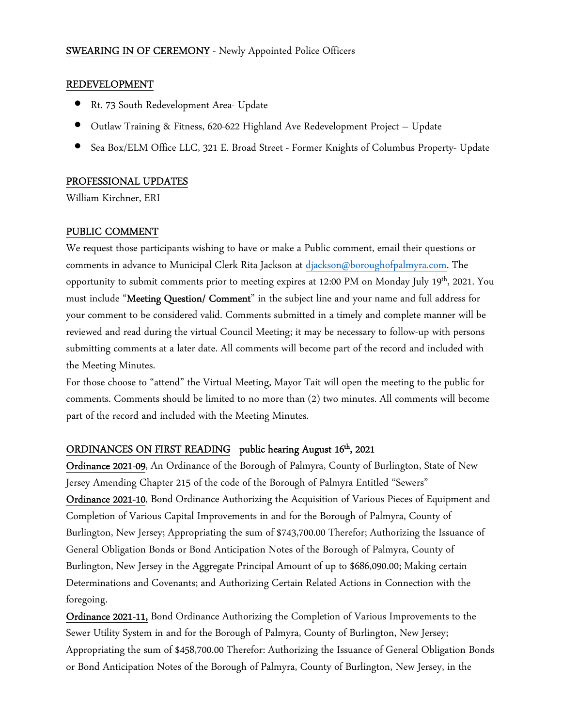## SWEARING IN OF CEREMONY - Newly Appointed Police Officers

#### REDEVELOPMENT

- Rt. 73 South Redevelopment Area- Update
- Outlaw Training & Fitness, 620-622 Highland Ave Redevelopment Project Update
- Sea Box/ELM Office LLC, 321 E. Broad Street Former Knights of Columbus Property- Update

#### PROFESSIONAL UPDATES

William Kirchner, ERI

#### PUBLIC COMMENT

We request those participants wishing to have or make a Public comment, email their questions or comments in advance to Municipal Clerk Rita Jackson at djackson@boroughofpalmyra.com. The opportunity to submit comments prior to meeting expires at 12:00 PM on Monday July 19<sup>th</sup>, 2021. You must include "Meeting Question/ Comment" in the subject line and your name and full address for your comment to be considered valid. Comments submitted in a timely and complete manner will be reviewed and read during the virtual Council Meeting; it may be necessary to follow-up with persons submitting comments at a later date. All comments will become part of the record and included with the Meeting Minutes.

For those choose to "attend" the Virtual Meeting, Mayor Tait will open the meeting to the public for comments. Comments should be limited to no more than (2) two minutes. All comments will become part of the record and included with the Meeting Minutes.

#### ORDINANCES ON FIRST READING public hearing August 16<sup>th</sup>, 2021

Ordinance 2021-09, An Ordinance of the Borough of Palmyra, County of Burlington, State of New Jersey Amending Chapter 215 of the code of the Borough of Palmyra Entitled "Sewers" Ordinance 2021-10, Bond Ordinance Authorizing the Acquisition of Various Pieces of Equipment and Completion of Various Capital Improvements in and for the Borough of Palmyra, County of Burlington, New Jersey; Appropriating the sum of \$743,700.00 Therefor; Authorizing the Issuance of General Obligation Bonds or Bond Anticipation Notes of the Borough of Palmyra, County of Burlington, New Jersey in the Aggregate Principal Amount of up to \$686,090.00; Making certain Determinations and Covenants; and Authorizing Certain Related Actions in Connection with the foregoing.

Ordinance 2021-11, Bond Ordinance Authorizing the Completion of Various Improvements to the Sewer Utility System in and for the Borough of Palmyra, County of Burlington, New Jersey; Appropriating the sum of \$458,700.00 Therefor: Authorizing the Issuance of General Obligation Bonds or Bond Anticipation Notes of the Borough of Palmyra, County of Burlington, New Jersey, in the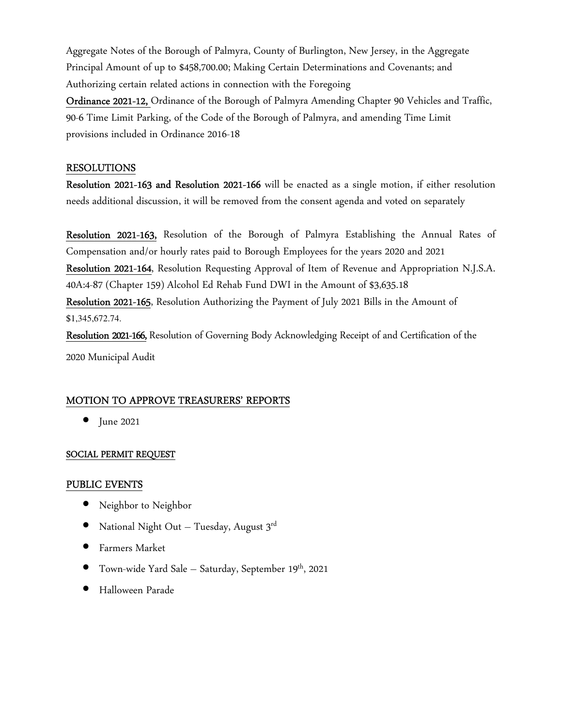Aggregate Notes of the Borough of Palmyra, County of Burlington, New Jersey, in the Aggregate Principal Amount of up to \$458,700.00; Making Certain Determinations and Covenants; and Authorizing certain related actions in connection with the Foregoing

Ordinance 2021-12, Ordinance of the Borough of Palmyra Amending Chapter 90 Vehicles and Traffic, 90-6 Time Limit Parking, of the Code of the Borough of Palmyra, and amending Time Limit provisions included in Ordinance 2016-18

#### RESOLUTIONS

Resolution 2021-163 and Resolution 2021-166 will be enacted as a single motion, if either resolution needs additional discussion, it will be removed from the consent agenda and voted on separately

Resolution 2021-163, Resolution of the Borough of Palmyra Establishing the Annual Rates of Compensation and/or hourly rates paid to Borough Employees for the years 2020 and 2021 Resolution 2021-164, Resolution Requesting Approval of Item of Revenue and Appropriation N.J.S.A. 40A:4-87 (Chapter 159) Alcohol Ed Rehab Fund DWI in the Amount of \$3,635.18 Resolution 2021-165, Resolution Authorizing the Payment of July 2021 Bills in the Amount of \$1,345,672.74. Resolution 2021-166, Resolution of Governing Body Acknowledging Receipt of and Certification of the

2020 Municipal Audit

#### MOTION TO APPROVE TREASURERS' REPORTS

• June 2021

#### SOCIAL PERMIT REQUEST

#### PUBLIC EVENTS

- Neighbor to Neighbor
- National Night Out Tuesday, August  $3^{rd}$
- Farmers Market
- Town-wide Yard Sale Saturday, September 19<sup>th</sup>, 2021
- Halloween Parade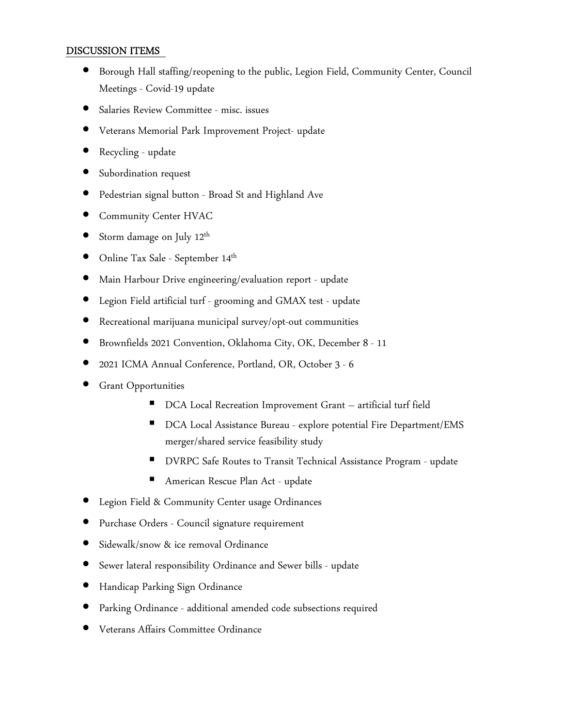## DISCUSSION ITEMS

- Borough Hall staffing/reopening to the public, Legion Field, Community Center, Council Meetings - Covid-19 update
- Salaries Review Committee misc. issues
- Veterans Memorial Park Improvement Project- update
- Recycling update
- Subordination request
- Pedestrian signal button Broad St and Highland Ave
- Community Center HVAC
- Storm damage on July  $12^{\text{th}}$
- $\bullet$  Online Tax Sale September  $14^{\text{th}}$
- Main Harbour Drive engineering/evaluation report update
- Legion Field artificial turf grooming and GMAX test update
- Recreational marijuana municipal survey/opt-out communities
- Brownfields 2021 Convention, Oklahoma City, OK, December 8 11
- 2021 ICMA Annual Conference, Portland, OR, October 3 6
- Grant Opportunities
	- DCA Local Recreation Improvement Grant artificial turf field
	- DCA Local Assistance Bureau explore potential Fire Department/EMS merger/shared service feasibility study
	- DVRPC Safe Routes to Transit Technical Assistance Program update
	- American Rescue Plan Act update
- Legion Field & Community Center usage Ordinances
- Purchase Orders Council signature requirement
- Sidewalk/snow & ice removal Ordinance
- Sewer lateral responsibility Ordinance and Sewer bills update
- Handicap Parking Sign Ordinance
- Parking Ordinance additional amended code subsections required
- Veterans Affairs Committee Ordinance